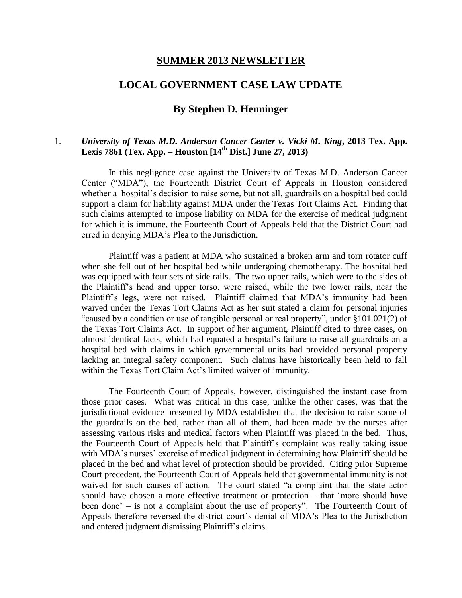#### **SUMMER 2013 NEWSLETTER**

# **LOCAL GOVERNMENT CASE LAW UPDATE**

# **By Stephen D. Henninger**

## 1. *University of Texas M.D. Anderson Cancer Center v. Vicki M. King***, 2013 Tex. App. Lexis 7861 (Tex. App. – Houston [14th Dist.] June 27, 2013)**

In this negligence case against the University of Texas M.D. Anderson Cancer Center ("MDA"), the Fourteenth District Court of Appeals in Houston considered whether a hospital's decision to raise some, but not all, guardrails on a hospital bed could support a claim for liability against MDA under the Texas Tort Claims Act. Finding that such claims attempted to impose liability on MDA for the exercise of medical judgment for which it is immune, the Fourteenth Court of Appeals held that the District Court had erred in denying MDA's Plea to the Jurisdiction.

Plaintiff was a patient at MDA who sustained a broken arm and torn rotator cuff when she fell out of her hospital bed while undergoing chemotherapy. The hospital bed was equipped with four sets of side rails. The two upper rails, which were to the sides of the Plaintiff's head and upper torso, were raised, while the two lower rails, near the Plaintiff's legs, were not raised. Plaintiff claimed that MDA's immunity had been waived under the Texas Tort Claims Act as her suit stated a claim for personal injuries "caused by a condition or use of tangible personal or real property", under §101.021(2) of the Texas Tort Claims Act. In support of her argument, Plaintiff cited to three cases, on almost identical facts, which had equated a hospital's failure to raise all guardrails on a hospital bed with claims in which governmental units had provided personal property lacking an integral safety component. Such claims have historically been held to fall within the Texas Tort Claim Act's limited waiver of immunity.

The Fourteenth Court of Appeals, however, distinguished the instant case from those prior cases. What was critical in this case, unlike the other cases, was that the jurisdictional evidence presented by MDA established that the decision to raise some of the guardrails on the bed, rather than all of them, had been made by the nurses after assessing various risks and medical factors when Plaintiff was placed in the bed. Thus, the Fourteenth Court of Appeals held that Plaintiff's complaint was really taking issue with MDA's nurses' exercise of medical judgment in determining how Plaintiff should be placed in the bed and what level of protection should be provided. Citing prior Supreme Court precedent, the Fourteenth Court of Appeals held that governmental immunity is not waived for such causes of action. The court stated "a complaint that the state actor should have chosen a more effective treatment or protection – that 'more should have been done' – is not a complaint about the use of property". The Fourteenth Court of Appeals therefore reversed the district court's denial of MDA's Plea to the Jurisdiction and entered judgment dismissing Plaintiff's claims.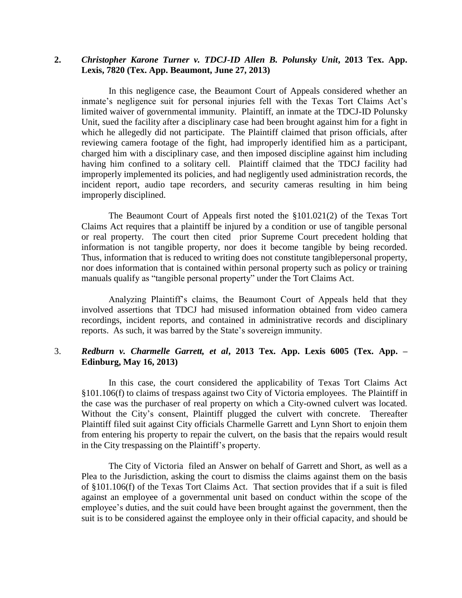## **2.** *Christopher Karone Turner v. TDCJ-ID Allen B. Polunsky Unit***, 2013 Tex. App. Lexis, 7820 (Tex. App. Beaumont, June 27, 2013)**

In this negligence case, the Beaumont Court of Appeals considered whether an inmate's negligence suit for personal injuries fell with the Texas Tort Claims Act's limited waiver of governmental immunity. Plaintiff, an inmate at the TDCJ-ID Polunsky Unit, sued the facility after a disciplinary case had been brought against him for a fight in which he allegedly did not participate. The Plaintiff claimed that prison officials, after reviewing camera footage of the fight, had improperly identified him as a participant, charged him with a disciplinary case, and then imposed discipline against him including having him confined to a solitary cell. Plaintiff claimed that the TDCJ facility had improperly implemented its policies, and had negligently used administration records, the incident report, audio tape recorders, and security cameras resulting in him being improperly disciplined.

The Beaumont Court of Appeals first noted the §101.021(2) of the Texas Tort Claims Act requires that a plaintiff be injured by a condition or use of tangible personal or real property. The court then cited prior Supreme Court precedent holding that information is not tangible property, nor does it become tangible by being recorded. Thus, information that is reduced to writing does not constitute tangiblepersonal property, nor does information that is contained within personal property such as policy or training manuals qualify as "tangible personal property" under the Tort Claims Act.

Analyzing Plaintiff's claims, the Beaumont Court of Appeals held that they involved assertions that TDCJ had misused information obtained from video camera recordings, incident reports, and contained in administrative records and disciplinary reports. As such, it was barred by the State's sovereign immunity.

#### 3. *Redburn v. Charmelle Garrett, et al***, 2013 Tex. App. Lexis 6005 (Tex. App. – Edinburg, May 16, 2013)**

In this case, the court considered the applicability of Texas Tort Claims Act §101.106(f) to claims of trespass against two City of Victoria employees. The Plaintiff in the case was the purchaser of real property on which a City-owned culvert was located. Without the City's consent, Plaintiff plugged the culvert with concrete. Thereafter Plaintiff filed suit against City officials Charmelle Garrett and Lynn Short to enjoin them from entering his property to repair the culvert, on the basis that the repairs would result in the City trespassing on the Plaintiff's property.

The City of Victoria filed an Answer on behalf of Garrett and Short, as well as a Plea to the Jurisdiction, asking the court to dismiss the claims against them on the basis of §101.106(f) of the Texas Tort Claims Act. That section provides that if a suit is filed against an employee of a governmental unit based on conduct within the scope of the employee's duties, and the suit could have been brought against the government, then the suit is to be considered against the employee only in their official capacity, and should be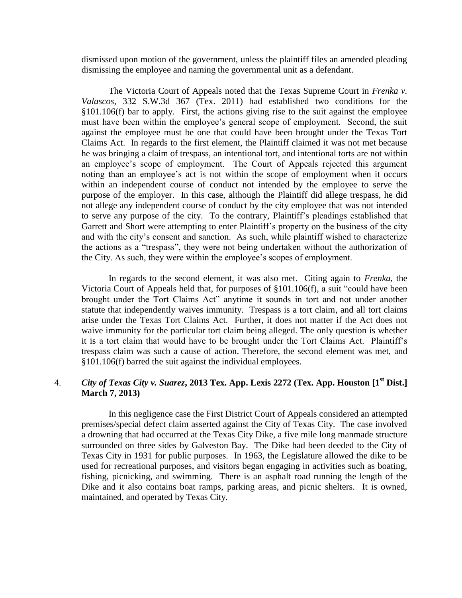dismissed upon motion of the government, unless the plaintiff files an amended pleading dismissing the employee and naming the governmental unit as a defendant.

The Victoria Court of Appeals noted that the Texas Supreme Court in *Frenka v. Valascos*, 332 S.W.3d 367 (Tex. 2011) had established two conditions for the §101.106(f) bar to apply. First, the actions giving rise to the suit against the employee must have been within the employee's general scope of employment. Second, the suit against the employee must be one that could have been brought under the Texas Tort Claims Act. In regards to the first element, the Plaintiff claimed it was not met because he was bringing a claim of trespass, an intentional tort, and intentional torts are not within an employee's scope of employment. The Court of Appeals rejected this argument noting than an employee's act is not within the scope of employment when it occurs within an independent course of conduct not intended by the employee to serve the purpose of the employer. In this case, although the Plaintiff did allege trespass, he did not allege any independent course of conduct by the city employee that was not intended to serve any purpose of the city. To the contrary, Plaintiff's pleadings established that Garrett and Short were attempting to enter Plaintiff's property on the business of the city and with the city's consent and sanction. As such, while plaintiff wished to characterize the actions as a "trespass", they were not being undertaken without the authorization of the City. As such, they were within the employee's scopes of employment.

In regards to the second element, it was also met. Citing again to *Frenka*, the Victoria Court of Appeals held that, for purposes of §101.106(f), a suit "could have been brought under the Tort Claims Act" anytime it sounds in tort and not under another statute that independently waives immunity. Trespass is a tort claim, and all tort claims arise under the Texas Tort Claims Act. Further, it does not matter if the Act does not waive immunity for the particular tort claim being alleged. The only question is whether it is a tort claim that would have to be brought under the Tort Claims Act. Plaintiff's trespass claim was such a cause of action. Therefore, the second element was met, and §101.106(f) barred the suit against the individual employees.

## 4. *City of Texas City v. Suarez***, 2013 Tex. App. Lexis 2272 (Tex. App. Houston [1st Dist.] March 7, 2013)**

In this negligence case the First District Court of Appeals considered an attempted premises/special defect claim asserted against the City of Texas City. The case involved a drowning that had occurred at the Texas City Dike, a five mile long manmade structure surrounded on three sides by Galveston Bay. The Dike had been deeded to the City of Texas City in 1931 for public purposes. In 1963, the Legislature allowed the dike to be used for recreational purposes, and visitors began engaging in activities such as boating, fishing, picnicking, and swimming. There is an asphalt road running the length of the Dike and it also contains boat ramps, parking areas, and picnic shelters. It is owned, maintained, and operated by Texas City.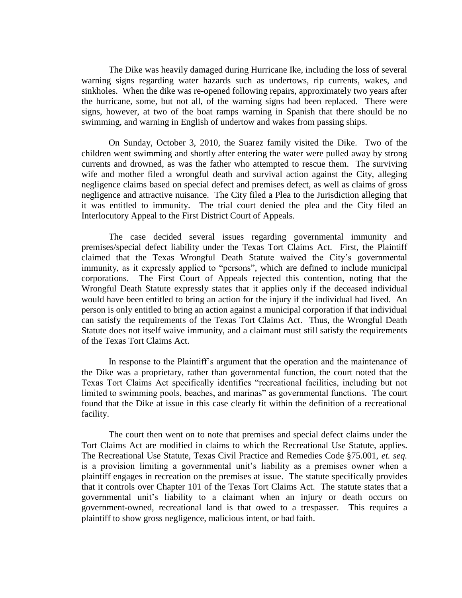The Dike was heavily damaged during Hurricane Ike, including the loss of several warning signs regarding water hazards such as undertows, rip currents, wakes, and sinkholes. When the dike was re-opened following repairs, approximately two years after the hurricane, some, but not all, of the warning signs had been replaced. There were signs, however, at two of the boat ramps warning in Spanish that there should be no swimming, and warning in English of undertow and wakes from passing ships.

On Sunday, October 3, 2010, the Suarez family visited the Dike. Two of the children went swimming and shortly after entering the water were pulled away by strong currents and drowned, as was the father who attempted to rescue them. The surviving wife and mother filed a wrongful death and survival action against the City, alleging negligence claims based on special defect and premises defect, as well as claims of gross negligence and attractive nuisance. The City filed a Plea to the Jurisdiction alleging that it was entitled to immunity. The trial court denied the plea and the City filed an Interlocutory Appeal to the First District Court of Appeals.

The case decided several issues regarding governmental immunity and premises/special defect liability under the Texas Tort Claims Act. First, the Plaintiff claimed that the Texas Wrongful Death Statute waived the City's governmental immunity, as it expressly applied to "persons", which are defined to include municipal corporations. The First Court of Appeals rejected this contention, noting that the Wrongful Death Statute expressly states that it applies only if the deceased individual would have been entitled to bring an action for the injury if the individual had lived. An person is only entitled to bring an action against a municipal corporation if that individual can satisfy the requirements of the Texas Tort Claims Act. Thus, the Wrongful Death Statute does not itself waive immunity, and a claimant must still satisfy the requirements of the Texas Tort Claims Act.

In response to the Plaintiff's argument that the operation and the maintenance of the Dike was a proprietary, rather than governmental function, the court noted that the Texas Tort Claims Act specifically identifies "recreational facilities, including but not limited to swimming pools, beaches, and marinas" as governmental functions. The court found that the Dike at issue in this case clearly fit within the definition of a recreational facility.

The court then went on to note that premises and special defect claims under the Tort Claims Act are modified in claims to which the Recreational Use Statute, applies. The Recreational Use Statute, Texas Civil Practice and Remedies Code §75.001, *et. seq.* is a provision limiting a governmental unit's liability as a premises owner when a plaintiff engages in recreation on the premises at issue. The statute specifically provides that it controls over Chapter 101 of the Texas Tort Claims Act. The statute states that a governmental unit's liability to a claimant when an injury or death occurs on government-owned, recreational land is that owed to a trespasser. This requires a plaintiff to show gross negligence, malicious intent, or bad faith.